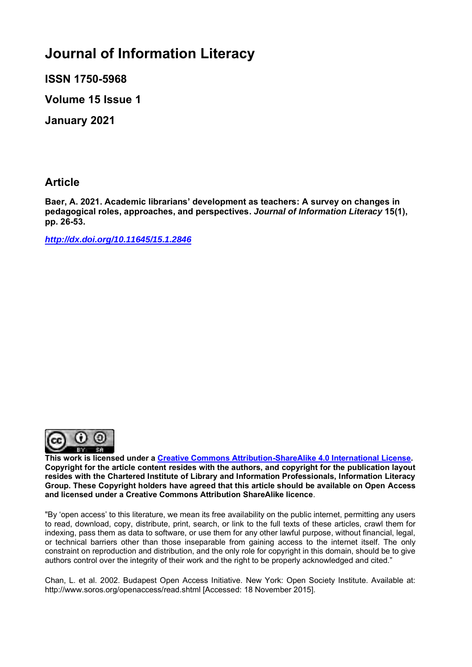# **Journal of Information Literacy**

**ISSN 1750-5968** 

**Volume 15 Issue 1**

**January 2021**

# **Article**

**Baer, A. 2021. Academic librarians' development as teachers: A survey on changes in pedagogical roles, approaches, and perspectives.** *Journal of Information Literacy* **15(1), pp. 26-53.**

*<http://dx.doi.org/10.11645/15.1.2846>*



**This work is licensed under a [Creative Commons Attribution-ShareAlike 4.0 International License.](http://creativecommons.org/licenses/by-sa/4.0/) Copyright for the article content resides with the authors, and copyright for the publication layout resides with the Chartered Institute of Library and Information Professionals, Information Literacy Group. These Copyright holders have agreed that this article should be available on Open Access and licensed under a Creative Commons Attribution ShareAlike licence**.

"By 'open access' to this literature, we mean its free availability on the public internet, permitting any users to read, download, copy, distribute, print, search, or link to the full texts of these articles, crawl them for indexing, pass them as data to software, or use them for any other lawful purpose, without financial, legal, or technical barriers other than those inseparable from gaining access to the internet itself. The only constraint on reproduction and distribution, and the only role for copyright in this domain, should be to give authors control over the integrity of their work and the right to be properly acknowledged and cited."

Chan, L. et al. 2002. Budapest Open Access Initiative. New York: Open Society Institute. Available at: http://www.soros.org/openaccess/read.shtml [Accessed: 18 November 2015].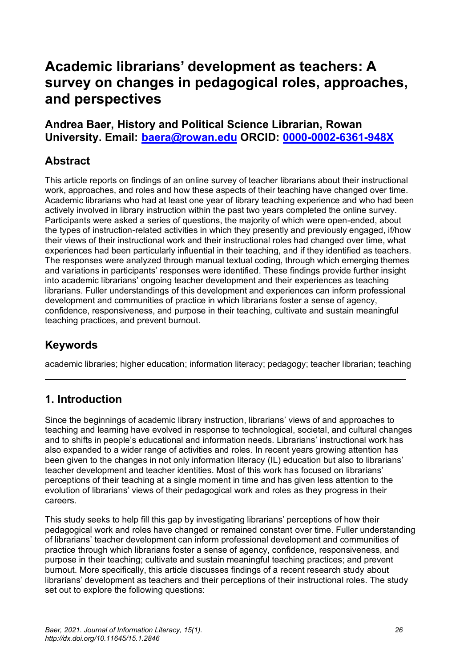# **Academic librarians' development as teachers: A survey on changes in pedagogical roles, approaches, and perspectives**

# **Andrea Baer, History and Political Science Librarian, Rowan University. Email: [baera@rowan.edu](mailto:baera@rowan.edu) ORCID: [0000-0002-6361-948X](https://eur02.safelinks.protection.outlook.com/?url=https%3A%2F%2Forcid.org%2F0000-0002-6361-948X&data=04%7C01%7Cellen.s.cole%40northumbria.ac.uk%7Cc312424e27eb454f49c308d88aeb4102%7Ce757cfdd1f354457af8f7c9c6b1437e3%7C0%7C0%7C637412090310330059%7CUnknown%7CTWFpbGZsb3d8eyJWIjoiMC4wLjAwMDAiLCJQIjoiV2luMzIiLCJBTiI6Ik1haWwiLCJXVCI6Mn0%3D%7C1000&sdata=n1YdHx7qrX19bkDWk%2FUUUUvSGTp1nFbv5SMUZdyF4CM%3D&reserved=0)**

# **Abstract**

This article reports on findings of an online survey of teacher librarians about their instructional work, approaches, and roles and how these aspects of their teaching have changed over time. Academic librarians who had at least one year of library teaching experience and who had been actively involved in library instruction within the past two years completed the online survey. Participants were asked a series of questions, the majority of which were open-ended, about the types of instruction-related activities in which they presently and previously engaged, if/how their views of their instructional work and their instructional roles had changed over time, what experiences had been particularly influential in their teaching, and if they identified as teachers. The responses were analyzed through manual textual coding, through which emerging themes and variations in participants' responses were identified. These findings provide further insight into academic librarians' ongoing teacher development and their experiences as teaching librarians. Fuller understandings of this development and experiences can inform professional development and communities of practice in which librarians foster a sense of agency, confidence, responsiveness, and purpose in their teaching, cultivate and sustain meaningful teaching practices, and prevent burnout.

# **Keywords**

academic libraries; higher education; information literacy; pedagogy; teacher librarian; teaching

# **1. Introduction**

Since the beginnings of academic library instruction, librarians' views of and approaches to teaching and learning have evolved in response to technological, societal, and cultural changes and to shifts in people's educational and information needs. Librarians' instructional work has also expanded to a wider range of activities and roles. In recent years growing attention has been given to the changes in not only information literacy (IL) education but also to librarians' teacher development and teacher identities. Most of this work has focused on librarians' perceptions of their teaching at a single moment in time and has given less attention to the evolution of librarians' views of their pedagogical work and roles as they progress in their careers.

This study seeks to help fill this gap by investigating librarians' perceptions of how their pedagogical work and roles have changed or remained constant over time. Fuller understanding of librarians' teacher development can inform professional development and communities of practice through which librarians foster a sense of agency, confidence, responsiveness, and purpose in their teaching; cultivate and sustain meaningful teaching practices; and prevent burnout. More specifically, this article discusses findings of a recent research study about librarians' development as teachers and their perceptions of their instructional roles. The study set out to explore the following questions: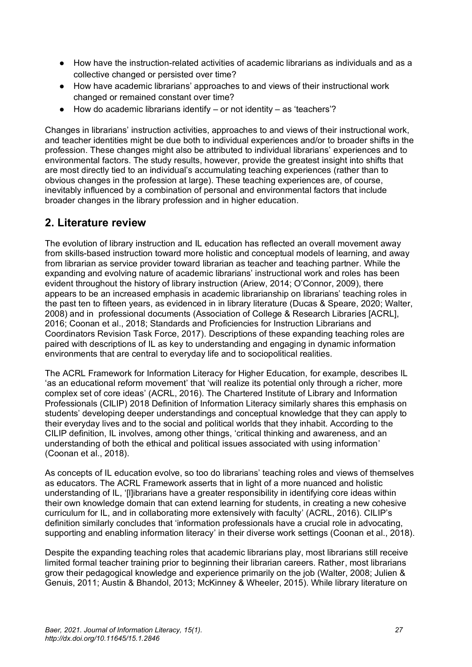- How have the instruction-related activities of academic librarians as individuals and as a collective changed or persisted over time?
- How have academic librarians' approaches to and views of their instructional work changed or remained constant over time?
- $\bullet$  How do academic librarians identify or not identity as 'teachers'?

Changes in librarians' instruction activities, approaches to and views of their instructional work, and teacher identities might be due both to individual experiences and/or to broader shifts in the profession. These changes might also be attributed to individual librarians' experiences and to environmental factors. The study results, however, provide the greatest insight into shifts that are most directly tied to an individual's accumulating teaching experiences (rather than to obvious changes in the profession at large). These teaching experiences are, of course, inevitably influenced by a combination of personal and environmental factors that include broader changes in the library profession and in higher education.

# **2. Literature review**

The evolution of library instruction and IL education has reflected an overall movement away from skills-based instruction toward more holistic and conceptual models of learning, and away from librarian as service provider toward librarian as teacher and teaching partner. While the expanding and evolving nature of academic librarians' instructional work and roles has been evident throughout the history of library instruction (Ariew, 2014; O'Connor, 2009), there appears to be an increased emphasis in academic librarianship on librarians' teaching roles in the past ten to fifteen years, as evidenced in in library literature (Ducas & Speare, 2020; Walter, 2008) and in professional documents (Association of College & Research Libraries [ACRL], 2016; Coonan et al., 2018; Standards and Proficiencies for Instruction Librarians and Coordinators Revision Task Force, 2017). Descriptions of these expanding teaching roles are paired with descriptions of IL as key to understanding and engaging in dynamic information environments that are central to everyday life and to sociopolitical realities.

The ACRL Framework for Information Literacy for Higher Education, for example, describes IL 'as an educational reform movement' that 'will realize its potential only through a richer, more complex set of core ideas' (ACRL, 2016). The Chartered Institute of Library and Information Professionals (CILIP) 2018 Definition of Information Literacy similarly shares this emphasis on students' developing deeper understandings and conceptual knowledge that they can apply to their everyday lives and to the social and political worlds that they inhabit. According to the CILIP definition, IL involves, among other things, 'critical thinking and awareness, and an understanding of both the ethical and political issues associated with using information' (Coonan et al., 2018).

As concepts of IL education evolve, so too do librarians' teaching roles and views of themselves as educators. The ACRL Framework asserts that in light of a more nuanced and holistic understanding of IL, '[l]ibrarians have a greater responsibility in identifying core ideas within their own knowledge domain that can extend learning for students, in creating a new cohesive curriculum for IL, and in collaborating more extensively with faculty' (ACRL, 2016). CILIP's definition similarly concludes that 'information professionals have a crucial role in advocating, supporting and enabling information literacy' in their diverse work settings (Coonan et al., 2018).

Despite the expanding teaching roles that academic librarians play, most librarians still receive limited formal teacher training prior to beginning their librarian careers. Rather, most librarians grow their pedagogical knowledge and experience primarily on the job (Walter, 2008; Julien & Genuis, 2011; Austin & Bhandol, 2013; McKinney & Wheeler, 2015). While library literature on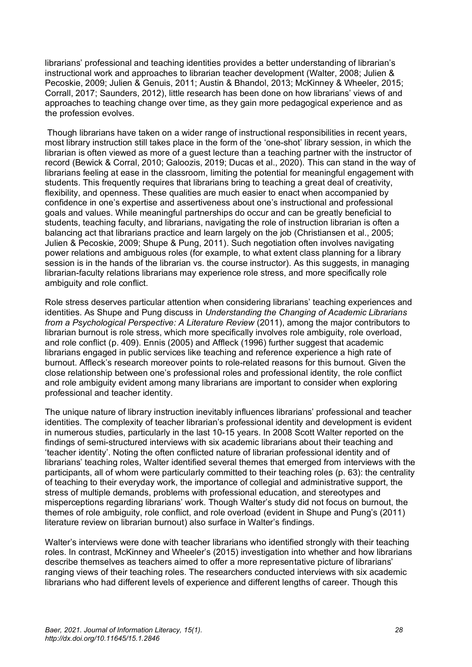librarians' professional and teaching identities provides a better understanding of librarian's instructional work and approaches to librarian teacher development (Walter, 2008; Julien & Pecoskie, 2009; Julien & Genuis, 2011; Austin & Bhandol, 2013; McKinney & Wheeler, 2015; Corrall, 2017; Saunders, 2012), little research has been done on how librarians' views of and approaches to teaching change over time, as they gain more pedagogical experience and as the profession evolves.

Though librarians have taken on a wider range of instructional responsibilities in recent years, most library instruction still takes place in the form of the 'one-shot' library session, in which the librarian is often viewed as more of a guest lecture than a teaching partner with the instructor of record (Bewick & Corral, 2010; Galoozis, 2019; Ducas et al., 2020). This can stand in the way of librarians feeling at ease in the classroom, limiting the potential for meaningful engagement with students. This frequently requires that librarians bring to teaching a great deal of creativity, flexibility, and openness. These qualities are much easier to enact when accompanied by confidence in one's expertise and assertiveness about one's instructional and professional goals and values. While meaningful partnerships do occur and can be greatly beneficial to students, teaching faculty, and librarians, navigating the role of instruction librarian is often a balancing act that librarians practice and learn largely on the job (Christiansen et al., 2005; Julien & Pecoskie, 2009; Shupe & Pung, 2011). Such negotiation often involves navigating power relations and ambiguous roles (for example, to what extent class planning for a library session is in the hands of the librarian vs. the course instructor). As this suggests, in managing librarian-faculty relations librarians may experience role stress, and more specifically role ambiguity and role conflict.

Role stress deserves particular attention when considering librarians' teaching experiences and identities. As Shupe and Pung discuss in *Understanding the Changing of Academic Librarians from a Psychological Perspective: A Literature Review* (2011), among the major contributors to librarian burnout is role stress, which more specifically involves role ambiguity, role overload, and role conflict (p. 409). Ennis (2005) and Affleck (1996) further suggest that academic librarians engaged in public services like teaching and reference experience a high rate of burnout. Affleck's research moreover points to role-related reasons for this burnout. Given the close relationship between one's professional roles and professional identity, the role conflict and role ambiguity evident among many librarians are important to consider when exploring professional and teacher identity.

The unique nature of library instruction inevitably influences librarians' professional and teacher identities. The complexity of teacher librarian's professional identity and development is evident in numerous studies, particularly in the last 10-15 years. In 2008 Scott Walter reported on the findings of semi-structured interviews with six academic librarians about their teaching and 'teacher identity'. Noting the often conflicted nature of librarian professional identity and of librarians' teaching roles, Walter identified several themes that emerged from interviews with the participants, all of whom were particularly committed to their teaching roles (p. 63): the centrality of teaching to their everyday work, the importance of collegial and administrative support, the stress of multiple demands, problems with professional education, and stereotypes and misperceptions regarding librarians' work. Though Walter's study did not focus on burnout, the themes of role ambiguity, role conflict, and role overload (evident in Shupe and Pung's (2011) literature review on librarian burnout) also surface in Walter's findings.

Walter's interviews were done with teacher librarians who identified strongly with their teaching roles. In contrast, McKinney and Wheeler's (2015) investigation into whether and how librarians describe themselves as teachers aimed to offer a more representative picture of librarians' ranging views of their teaching roles. The researchers conducted interviews with six academic librarians who had different levels of experience and different lengths of career. Though this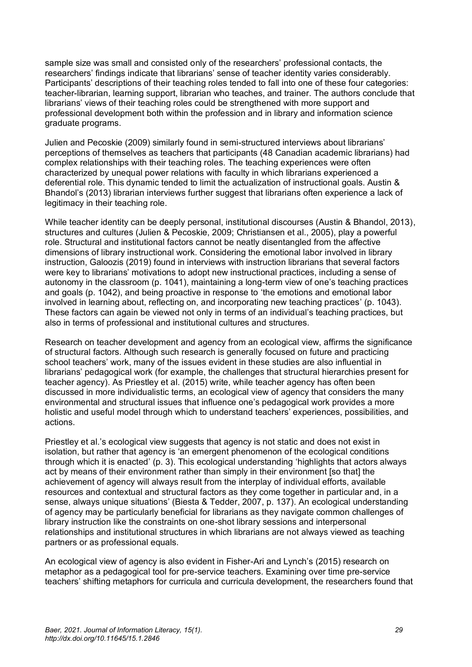sample size was small and consisted only of the researchers' professional contacts, the researchers' findings indicate that librarians' sense of teacher identity varies considerably. Participants' descriptions of their teaching roles tended to fall into one of these four categories: teacher-librarian, learning support, librarian who teaches, and trainer. The authors conclude that librarians' views of their teaching roles could be strengthened with more support and professional development both within the profession and in library and information science graduate programs.

Julien and Pecoskie (2009) similarly found in semi-structured interviews about librarians' perceptions of themselves as teachers that participants (48 Canadian academic librarians) had complex relationships with their teaching roles. The teaching experiences were often characterized by unequal power relations with faculty in which librarians experienced a deferential role. This dynamic tended to limit the actualization of instructional goals. Austin & Bhandol's (2013) librarian interviews further suggest that librarians often experience a lack of legitimacy in their teaching role.

While teacher identity can be deeply personal, institutional discourses (Austin & Bhandol, 2013), structures and cultures (Julien & Pecoskie, 2009; Christiansen et al., 2005), play a powerful role. Structural and institutional factors cannot be neatly disentangled from the affective dimensions of library instructional work. Considering the emotional labor involved in library instruction, Galoozis (2019) found in interviews with instruction librarians that several factors were key to librarians' motivations to adopt new instructional practices, including a sense of autonomy in the classroom (p. 1041), maintaining a long-term view of one's teaching practices and goals (p. 1042), and being proactive in response to 'the emotions and emotional labor involved in learning about, reflecting on, and incorporating new teaching practices' (p. 1043). These factors can again be viewed not only in terms of an individual's teaching practices, but also in terms of professional and institutional cultures and structures.

Research on teacher development and agency from an ecological view, affirms the significance of structural factors. Although such research is generally focused on future and practicing school teachers' work, many of the issues evident in these studies are also influential in librarians' pedagogical work (for example, the challenges that structural hierarchies present for teacher agency). As Priestley et al. (2015) write, while teacher agency has often been discussed in more individualistic terms, an ecological view of agency that considers the many environmental and structural issues that influence one's pedagogical work provides a more holistic and useful model through which to understand teachers' experiences, possibilities, and actions.

Priestley et al.'s ecological view suggests that agency is not static and does not exist in isolation, but rather that agency is 'an emergent phenomenon of the ecological conditions through which it is enacted' (p. 3). This ecological understanding 'highlights that actors always act by means of their environment rather than simply in their environment [so that] the achievement of agency will always result from the interplay of individual efforts, available resources and contextual and structural factors as they come together in particular and, in a sense, always unique situations' (Biesta & Tedder, 2007, p. 137). An ecological understanding of agency may be particularly beneficial for librarians as they navigate common challenges of library instruction like the constraints on one-shot library sessions and interpersonal relationships and institutional structures in which librarians are not always viewed as teaching partners or as professional equals.

An ecological view of agency is also evident in Fisher-Ari and Lynch's (2015) research on metaphor as a pedagogical tool for pre-service teachers. Examining over time pre-service teachers' shifting metaphors for curricula and curricula development, the researchers found that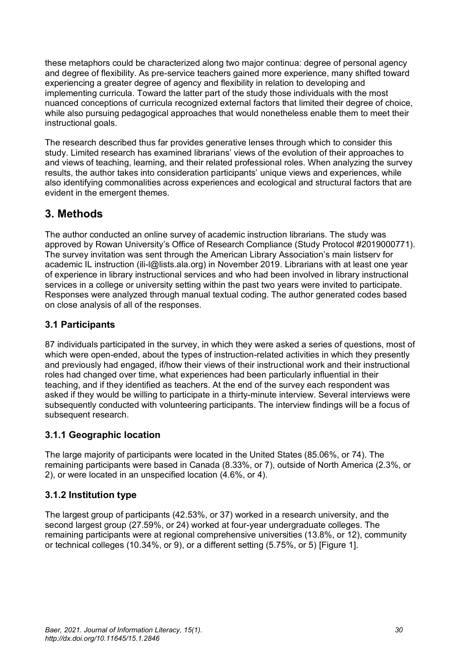these metaphors could be characterized along two major continua: degree of personal agency and degree of flexibility. As pre-service teachers gained more experience, many shifted toward experiencing a greater degree of agency and flexibility in relation to developing and implementing curricula. Toward the latter part of the study those individuals with the most nuanced conceptions of curricula recognized external factors that limited their degree of choice, while also pursuing pedagogical approaches that would nonetheless enable them to meet their instructional goals.

The research described thus far provides generative lenses through which to consider this study. Limited research has examined librarians' views of the evolution of their approaches to and views of teaching, learning, and their related professional roles. When analyzing the survey results, the author takes into consideration participants' unique views and experiences, while also identifying commonalities across experiences and ecological and structural factors that are evident in the emergent themes.

# **3. Methods**

The author conducted an online survey of academic instruction librarians. The study was approved by Rowan University's Office of Research Compliance (Study Protocol #2019000771). The survey invitation was sent through the American Library Association's main listserv for academic IL instruction (ili-l@lists.ala.org) in November 2019. Librarians with at least one year of experience in library instructional services and who had been involved in library instructional services in a college or university setting within the past two years were invited to participate. Responses were analyzed through manual textual coding. The author generated codes based on close analysis of all of the responses.

# **3.1 Participants**

87 individuals participated in the survey, in which they were asked a series of questions, most of which were open-ended, about the types of instruction-related activities in which they presently and previously had engaged, if/how their views of their instructional work and their instructional roles had changed over time, what experiences had been particularly influential in their teaching, and if they identified as teachers. At the end of the survey each respondent was asked if they would be willing to participate in a thirty-minute interview. Several interviews were subsequently conducted with volunteering participants. The interview findings will be a focus of subsequent research.

# **3.1.1 Geographic location**

The large majority of participants were located in the United States (85.06%, or 74). The remaining participants were based in Canada (8.33%, or 7), outside of North America (2.3%, or 2), or were located in an unspecified location (4.6%, or 4).

# **3.1.2 Institution type**

The largest group of participants (42.53%, or 37) worked in a research university, and the second largest group (27.59%, or 24) worked at four-year undergraduate colleges. The remaining participants were at regional comprehensive universities (13.8%, or 12), community or technical colleges (10.34%, or 9), or a different setting (5.75%, or 5) [Figure 1].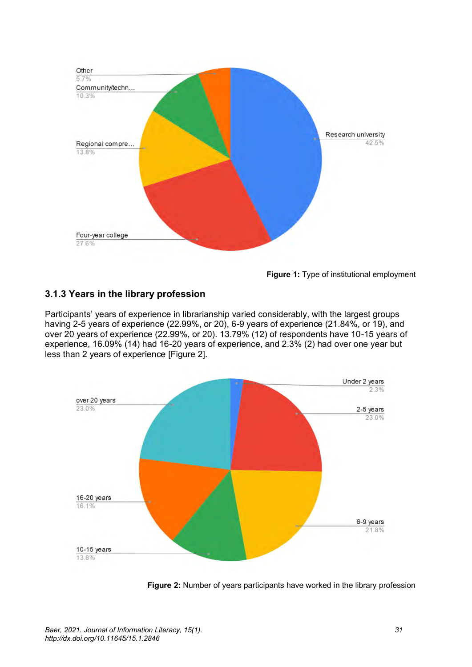

**Figure 1:** Type of institutional employment

# **3.1.3 Years in the library profession**

Participants' years of experience in librarianship varied considerably, with the largest groups having 2-5 years of experience (22.99%, or 20), 6-9 years of experience (21.84%, or 19), and over 20 years of experience (22.99%, or 20). 13.79% (12) of respondents have 10-15 years of experience, 16.09% (14) had 16-20 years of experience, and 2.3% (2) had over one year but less than 2 years of experience [Figure 2].



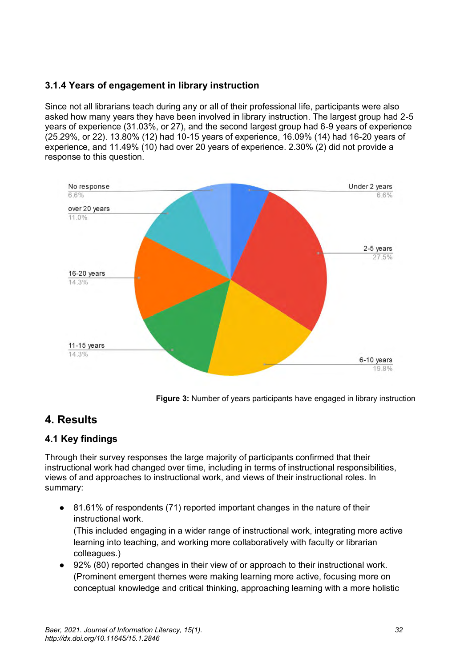# **3.1.4 Years of engagement in library instruction**

Since not all librarians teach during any or all of their professional life, participants were also asked how many years they have been involved in library instruction. The largest group had 2-5 years of experience (31.03%, or 27), and the second largest group had 6-9 years of experience (25.29%, or 22). 13.80% (12) had 10-15 years of experience, 16.09% (14) had 16-20 years of experience, and 11.49% (10) had over 20 years of experience. 2.30% (2) did not provide a response to this question.



**Figure 3:** Number of years participants have engaged in library instruction

# **4. Results**

# **4.1 Key findings**

Through their survey responses the large majority of participants confirmed that their instructional work had changed over time, including in terms of instructional responsibilities, views of and approaches to instructional work, and views of their instructional roles. In summary:

● 81.61% of respondents (71) reported important changes in the nature of their instructional work.

(This included engaging in a wider range of instructional work, integrating more active learning into teaching, and working more collaboratively with faculty or librarian colleagues.)

● 92% (80) reported changes in their view of or approach to their instructional work. (Prominent emergent themes were making learning more active, focusing more on conceptual knowledge and critical thinking, approaching learning with a more holistic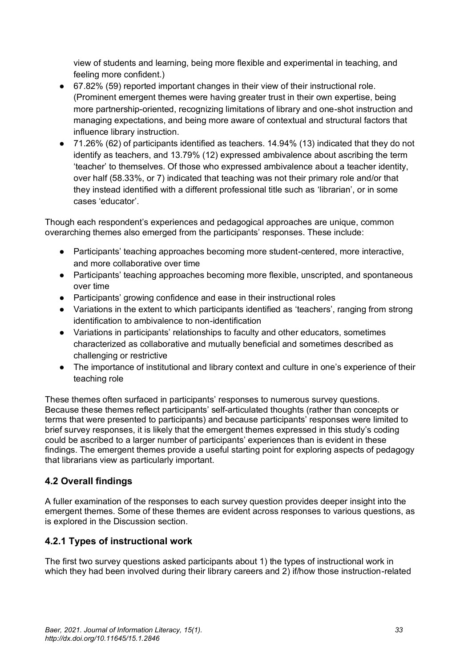view of students and learning, being more flexible and experimental in teaching, and feeling more confident.)

- 67.82% (59) reported important changes in their view of their instructional role. (Prominent emergent themes were having greater trust in their own expertise, being more partnership-oriented, recognizing limitations of library and one-shot instruction and managing expectations, and being more aware of contextual and structural factors that influence library instruction.
- 71.26% (62) of participants identified as teachers. 14.94% (13) indicated that they do not identify as teachers, and 13.79% (12) expressed ambivalence about ascribing the term 'teacher' to themselves. Of those who expressed ambivalence about a teacher identity, over half (58.33%, or 7) indicated that teaching was not their primary role and/or that they instead identified with a different professional title such as 'librarian', or in some cases 'educator'.

Though each respondent's experiences and pedagogical approaches are unique, common overarching themes also emerged from the participants' responses. These include:

- Participants' teaching approaches becoming more student-centered, more interactive, and more collaborative over time
- Participants' teaching approaches becoming more flexible, unscripted, and spontaneous over time
- Participants' growing confidence and ease in their instructional roles
- Variations in the extent to which participants identified as 'teachers', ranging from strong identification to ambivalence to non-identification
- Variations in participants' relationships to faculty and other educators, sometimes characterized as collaborative and mutually beneficial and sometimes described as challenging or restrictive
- The importance of institutional and library context and culture in one's experience of their teaching role

These themes often surfaced in participants' responses to numerous survey questions. Because these themes reflect participants' self-articulated thoughts (rather than concepts or terms that were presented to participants) and because participants' responses were limited to brief survey responses, it is likely that the emergent themes expressed in this study's coding could be ascribed to a larger number of participants' experiences than is evident in these findings. The emergent themes provide a useful starting point for exploring aspects of pedagogy that librarians view as particularly important.

# **4.2 Overall findings**

A fuller examination of the responses to each survey question provides deeper insight into the emergent themes. Some of these themes are evident across responses to various questions, as is explored in the Discussion section.

# **4.2.1 Types of instructional work**

The first two survey questions asked participants about 1) the types of instructional work in which they had been involved during their library careers and 2) if/how those instruction-related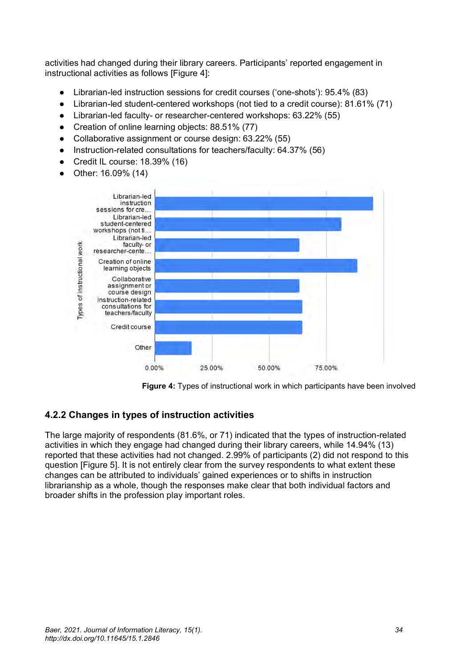activities had changed during their library careers. Participants' reported engagement in instructional activities as follows [Figure 4]:

- Librarian-led instruction sessions for credit courses ('one-shots'): 95.4% (83)
- Librarian-led student-centered workshops (not tied to a credit course): 81.61% (71)
- Librarian-led faculty- or researcher-centered workshops: 63.22% (55)
- Creation of online learning objects: 88.51% (77)
- Collaborative assignment or course design: 63.22% (55)
- Instruction-related consultations for teachers/faculty: 64.37% (56)
- $\bullet$  Credit IL course: 18.39% (16)
- Other: 16.09% (14)



**Figure 4:** Types of instructional work in which participants have been involved

# **4.2.2 Changes in types of instruction activities**

The large majority of respondents (81.6%, or 71) indicated that the types of instruction-related activities in which they engage had changed during their library careers, while 14.94% (13) reported that these activities had not changed. 2.99% of participants (2) did not respond to this question [Figure 5]. It is not entirely clear from the survey respondents to what extent these changes can be attributed to individuals' gained experiences or to shifts in instruction librarianship as a whole, though the responses make clear that both individual factors and broader shifts in the profession play important roles.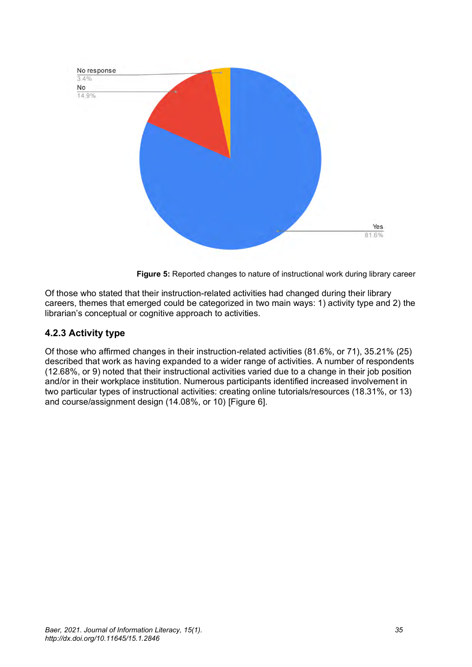

**Figure 5:** Reported changes to nature of instructional work during library career

Of those who stated that their instruction-related activities had changed during their library careers, themes that emerged could be categorized in two main ways: 1) activity type and 2) the librarian's conceptual or cognitive approach to activities.

# **4.2.3 Activity type**

Of those who affirmed changes in their instruction-related activities (81.6%, or 71), 35.21% (25) described that work as having expanded to a wider range of activities. A number of respondents (12.68%, or 9) noted that their instructional activities varied due to a change in their job position and/or in their workplace institution. Numerous participants identified increased involvement in two particular types of instructional activities: creating online tutorials/resources (18.31%, or 13) and course/assignment design (14.08%, or 10) [Figure 6].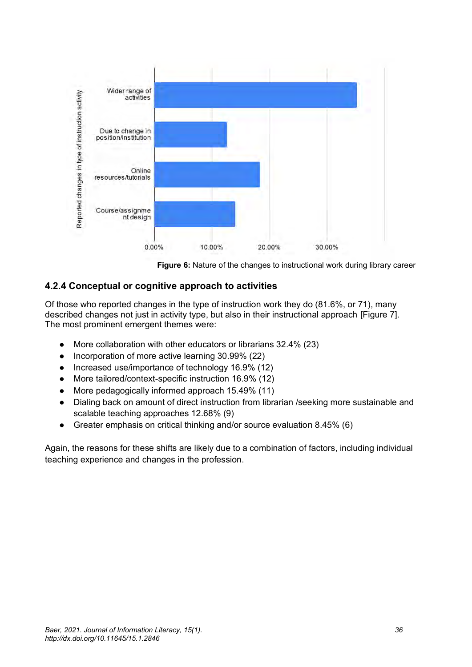

**Figure 6:** Nature of the changes to instructional work during library career

### **4.2.4 Conceptual or cognitive approach to activities**

Of those who reported changes in the type of instruction work they do (81.6%, or 71), many described changes not just in activity type, but also in their instructional approach [Figure 7]. The most prominent emergent themes were:

- More collaboration with other educators or librarians 32.4% (23)
- Incorporation of more active learning 30.99% (22)
- Increased use/importance of technology 16.9% (12)
- More tailored/context-specific instruction 16.9% (12)
- More pedagogically informed approach 15.49% (11)
- Dialing back on amount of direct instruction from librarian /seeking more sustainable and scalable teaching approaches 12.68% (9)
- Greater emphasis on critical thinking and/or source evaluation 8.45% (6)

Again, the reasons for these shifts are likely due to a combination of factors, including individual teaching experience and changes in the profession.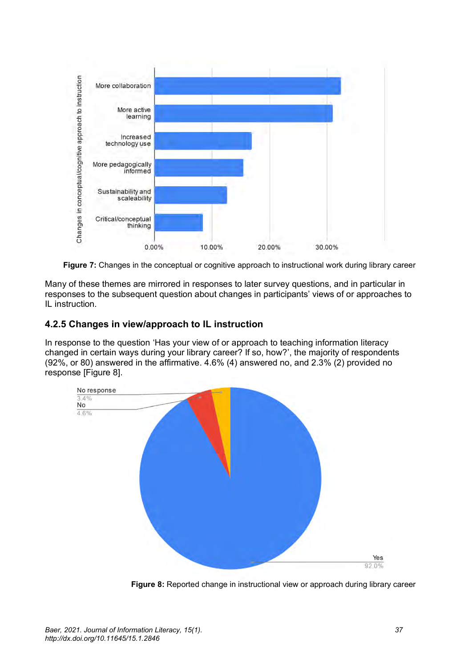

**Figure 7:** Changes in the conceptual or cognitive approach to instructional work during library career

Many of these themes are mirrored in responses to later survey questions, and in particular in responses to the subsequent question about changes in participants' views of or approaches to IL instruction.

### **4.2.5 Changes in view/approach to IL instruction**

In response to the question 'Has your view of or approach to teaching information literacy changed in certain ways during your library career? If so, how?', the majority of respondents (92%, or 80) answered in the affirmative. 4.6% (4) answered no, and 2.3% (2) provided no response [Figure 8].



**Figure 8:** Reported change in instructional view or approach during library career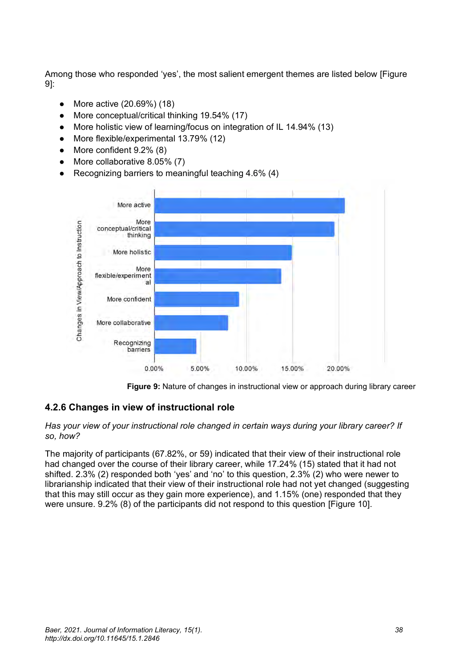Among those who responded 'yes', the most salient emergent themes are listed below [Figure 9]:

- More active (20.69%) (18)
- More conceptual/critical thinking 19.54% (17)
- More holistic view of learning/focus on integration of IL 14.94% (13)
- More flexible/experimental 13.79% (12)
- More confident 9.2% (8)
- More collaborative 8.05% (7)
- Recognizing barriers to meaningful teaching  $4.6\%$  (4)



**Figure 9:** Nature of changes in instructional view or approach during library career

### **4.2.6 Changes in view of instructional role**

#### *Has your view of your instructional role changed in certain ways during your library career? If so, how?*

The majority of participants (67.82%, or 59) indicated that their view of their instructional role had changed over the course of their library career, while 17.24% (15) stated that it had not shifted. 2.3% (2) responded both 'yes' and 'no' to this question, 2.3% (2) who were newer to librarianship indicated that their view of their instructional role had not yet changed (suggesting that this may still occur as they gain more experience), and 1.15% (one) responded that they were unsure. 9.2% (8) of the participants did not respond to this question [Figure 10].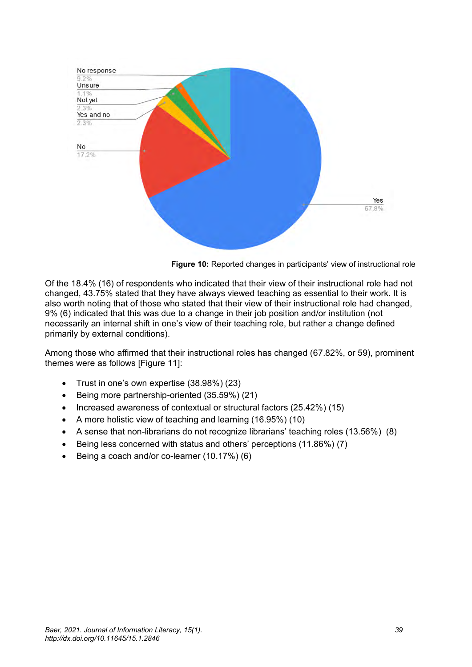

**Figure 10:** Reported changes in participants' view of instructional role

Of the 18.4% (16) of respondents who indicated that their view of their instructional role had not changed, 43.75% stated that they have always viewed teaching as essential to their work. It is also worth noting that of those who stated that their view of their instructional role had changed, 9% (6) indicated that this was due to a change in their job position and/or institution (not necessarily an internal shift in one's view of their teaching role, but rather a change defined primarily by external conditions).

Among those who affirmed that their instructional roles has changed (67.82%, or 59), prominent themes were as follows [Figure 11]:

- Trust in one's own expertise (38.98%) (23)
- Being more partnership-oriented (35.59%) (21)
- Increased awareness of contextual or structural factors (25.42%) (15)
- A more holistic view of teaching and learning (16.95%) (10)
- A sense that non-librarians do not recognize librarians' teaching roles (13.56%) (8)
- Being less concerned with status and others' perceptions (11.86%) (7)
- Being a coach and/or co-learner (10.17%) (6)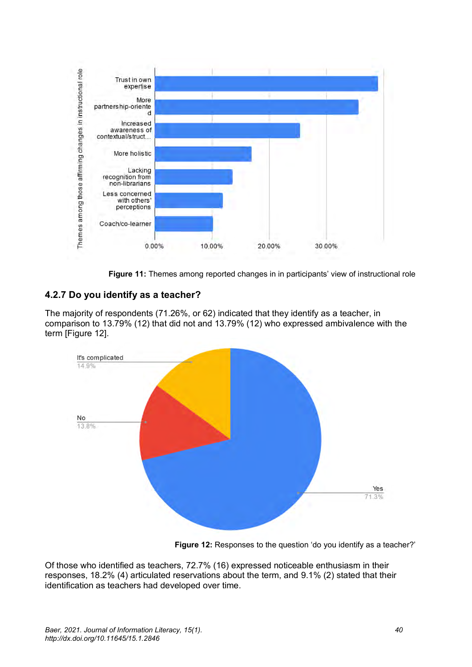

**Figure 11:** Themes among reported changes in in participants' view of instructional role

# **4.2.7 Do you identify as a teacher?**

The majority of respondents (71.26%, or 62) indicated that they identify as a teacher, in comparison to 13.79% (12) that did not and 13.79% (12) who expressed ambivalence with the term [Figure 12].



**Figure 12:** Responses to the question 'do you identify as a teacher?'

Of those who identified as teachers, 72.7% (16) expressed noticeable enthusiasm in their responses, 18.2% (4) articulated reservations about the term, and 9.1% (2) stated that their identification as teachers had developed over time.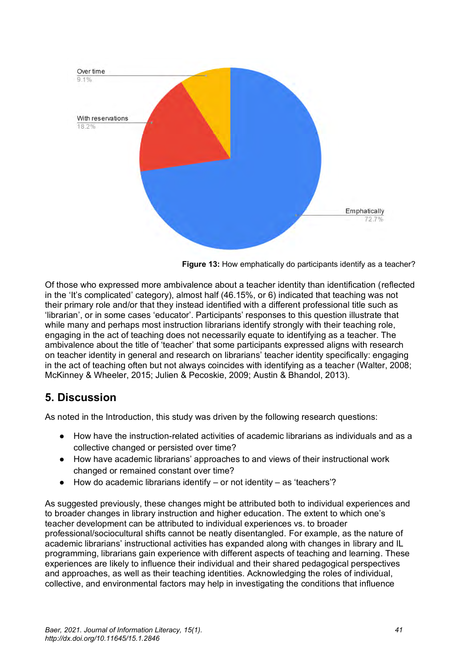

**Figure 13:** How emphatically do participants identify as a teacher?

Of those who expressed more ambivalence about a teacher identity than identification (reflected in the 'It's complicated' category), almost half (46.15%, or 6) indicated that teaching was not their primary role and/or that they instead identified with a different professional title such as 'librarian', or in some cases 'educator'. Participants' responses to this question illustrate that while many and perhaps most instruction librarians identify strongly with their teaching role, engaging in the act of teaching does not necessarily equate to identifying as a teacher. The ambivalence about the title of 'teacher' that some participants expressed aligns with research on teacher identity in general and research on librarians' teacher identity specifically: engaging in the act of teaching often but not always coincides with identifying as a teacher (Walter, 2008; McKinney & Wheeler, 2015; Julien & Pecoskie, 2009; Austin & Bhandol, 2013).

# **5. Discussion**

As noted in the Introduction, this study was driven by the following research questions:

- How have the instruction-related activities of academic librarians as individuals and as a collective changed or persisted over time?
- How have academic librarians' approaches to and views of their instructional work changed or remained constant over time?
- $\bullet$  How do academic librarians identify or not identity as 'teachers'?

As suggested previously, these changes might be attributed both to individual experiences and to broader changes in library instruction and higher education. The extent to which one's teacher development can be attributed to individual experiences vs. to broader professional/sociocultural shifts cannot be neatly disentangled. For example, as the nature of academic librarians' instructional activities has expanded along with changes in library and IL programming, librarians gain experience with different aspects of teaching and learning. These experiences are likely to influence their individual and their shared pedagogical perspectives and approaches, as well as their teaching identities. Acknowledging the roles of individual, collective, and environmental factors may help in investigating the conditions that influence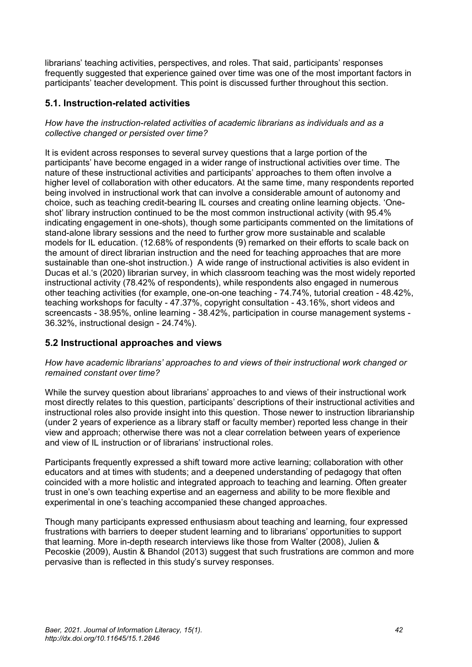librarians' teaching activities, perspectives, and roles. That said, participants' responses frequently suggested that experience gained over time was one of the most important factors in participants' teacher development. This point is discussed further throughout this section.

### **5.1. Instruction-related activities**

*How have the instruction-related activities of academic librarians as individuals and as a collective changed or persisted over time?*

It is evident across responses to several survey questions that a large portion of the participants' have become engaged in a wider range of instructional activities over time. The nature of these instructional activities and participants' approaches to them often involve a higher level of collaboration with other educators. At the same time, many respondents reported being involved in instructional work that can involve a considerable amount of autonomy and choice, such as teaching credit-bearing IL courses and creating online learning objects. 'Oneshot' library instruction continued to be the most common instructional activity (with 95.4% indicating engagement in one-shots), though some participants commented on the limitations of stand-alone library sessions and the need to further grow more sustainable and scalable models for IL education. (12.68% of respondents (9) remarked on their efforts to scale back on the amount of direct librarian instruction and the need for teaching approaches that are more sustainable than one-shot instruction.) A wide range of instructional activities is also evident in Ducas et al.'s (2020) librarian survey, in which classroom teaching was the most widely reported instructional activity (78.42% of respondents), while respondents also engaged in numerous other teaching activities (for example, one-on-one teaching - 74.74%, tutorial creation - 48.42%, teaching workshops for faculty - 47.37%, copyright consultation - 43.16%, short videos and screencasts - 38.95%, online learning - 38.42%, participation in course management systems - 36.32%, instructional design - 24.74%).

### **5.2 Instructional approaches and views**

*How have academic librarians' approaches to and views of their instructional work changed or remained constant over time?*

While the survey question about librarians' approaches to and views of their instructional work most directly relates to this question, participants' descriptions of their instructional activities and instructional roles also provide insight into this question. Those newer to instruction librarianship (under 2 years of experience as a library staff or faculty member) reported less change in their view and approach; otherwise there was not a clear correlation between years of experience and view of IL instruction or of librarians' instructional roles.

Participants frequently expressed a shift toward more active learning; collaboration with other educators and at times with students; and a deepened understanding of pedagogy that often coincided with a more holistic and integrated approach to teaching and learning. Often greater trust in one's own teaching expertise and an eagerness and ability to be more flexible and experimental in one's teaching accompanied these changed approaches.

Though many participants expressed enthusiasm about teaching and learning, four expressed frustrations with barriers to deeper student learning and to librarians' opportunities to support that learning. More in-depth research interviews like those from Walter (2008), Julien & Pecoskie (2009), Austin & Bhandol (2013) suggest that such frustrations are common and more pervasive than is reflected in this study's survey responses.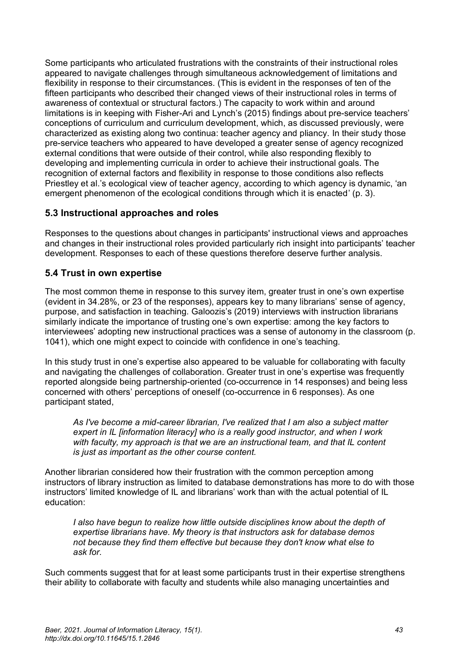Some participants who articulated frustrations with the constraints of their instructional roles appeared to navigate challenges through simultaneous acknowledgement of limitations and flexibility in response to their circumstances. (This is evident in the responses of ten of the fifteen participants who described their changed views of their instructional roles in terms of awareness of contextual or structural factors.) The capacity to work within and around limitations is in keeping with Fisher-Ari and Lynch's (2015) findings about pre-service teachers' conceptions of curriculum and curriculum development, which, as discussed previously, were characterized as existing along two continua: teacher agency and pliancy. In their study those pre-service teachers who appeared to have developed a greater sense of agency recognized external conditions that were outside of their control, while also responding flexibly to developing and implementing curricula in order to achieve their instructional goals. The recognition of external factors and flexibility in response to those conditions also reflects Priestley et al.'s ecological view of teacher agency, according to which agency is dynamic, 'an emergent phenomenon of the ecological conditions through which it is enacted' (p. 3).

### **5.3 Instructional approaches and roles**

Responses to the questions about changes in participants' instructional views and approaches and changes in their instructional roles provided particularly rich insight into participants' teacher development. Responses to each of these questions therefore deserve further analysis.

### **5.4 Trust in own expertise**

The most common theme in response to this survey item, greater trust in one's own expertise (evident in 34.28%, or 23 of the responses), appears key to many librarians' sense of agency, purpose, and satisfaction in teaching. Galoozis's (2019) interviews with instruction librarians similarly indicate the importance of trusting one's own expertise: among the key factors to interviewees' adopting new instructional practices was a sense of autonomy in the classroom (p. 1041), which one might expect to coincide with confidence in one's teaching.

In this study trust in one's expertise also appeared to be valuable for collaborating with faculty and navigating the challenges of collaboration. Greater trust in one's expertise was frequently reported alongside being partnership-oriented (co-occurrence in 14 responses) and being less concerned with others' perceptions of oneself (co-occurrence in 6 responses). As one participant stated,

*As I've become a mid-career librarian, I've realized that I am also a subject matter expert in IL [information literacy] who is a really good instructor, and when I work with faculty, my approach is that we are an instructional team, and that IL content is just as important as the other course content.*

Another librarian considered how their frustration with the common perception among instructors of library instruction as limited to database demonstrations has more to do with those instructors' limited knowledge of IL and librarians' work than with the actual potential of IL education:

*I also have begun to realize how little outside disciplines know about the depth of expertise librarians have. My theory is that instructors ask for database demos not because they find them effective but because they don't know what else to ask for.*

Such comments suggest that for at least some participants trust in their expertise strengthens their ability to collaborate with faculty and students while also managing uncertainties and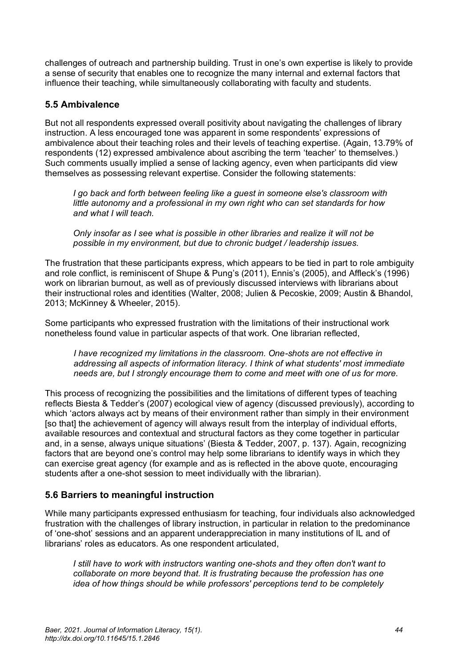challenges of outreach and partnership building. Trust in one's own expertise is likely to provide a sense of security that enables one to recognize the many internal and external factors that influence their teaching, while simultaneously collaborating with faculty and students.

### **5.5 Ambivalence**

But not all respondents expressed overall positivity about navigating the challenges of library instruction. A less encouraged tone was apparent in some respondents' expressions of ambivalence about their teaching roles and their levels of teaching expertise. (Again, 13.79% of respondents (12) expressed ambivalence about ascribing the term 'teacher' to themselves.) Such comments usually implied a sense of lacking agency, even when participants did view themselves as possessing relevant expertise. Consider the following statements:

*I go back and forth between feeling like a guest in someone else's classroom with little autonomy and a professional in my own right who can set standards for how and what I will teach.*

*Only insofar as I see what is possible in other libraries and realize it will not be possible in my environment, but due to chronic budget / leadership issues.*

The frustration that these participants express, which appears to be tied in part to role ambiguity and role conflict, is reminiscent of Shupe & Pung's (2011), Ennis's (2005), and Affleck's (1996) work on librarian burnout, as well as of previously discussed interviews with librarians about their instructional roles and identities (Walter, 2008; Julien & Pecoskie, 2009; Austin & Bhandol, 2013; McKinney & Wheeler, 2015).

Some participants who expressed frustration with the limitations of their instructional work nonetheless found value in particular aspects of that work. One librarian reflected,

*I have recognized my limitations in the classroom. One-shots are not effective in addressing all aspects of information literacy. I think of what students' most immediate needs are, but I strongly encourage them to come and meet with one of us for more.*

This process of recognizing the possibilities and the limitations of different types of teaching reflects Biesta & Tedder's (2007) ecological view of agency (discussed previously), according to which 'actors always act by means of their environment rather than simply in their environment [so that] the achievement of agency will always result from the interplay of individual efforts, available resources and contextual and structural factors as they come together in particular and, in a sense, always unique situations' (Biesta & Tedder, 2007, p. 137). Again, recognizing factors that are beyond one's control may help some librarians to identify ways in which they can exercise great agency (for example and as is reflected in the above quote, encouraging students after a one-shot session to meet individually with the librarian).

### **5.6 Barriers to meaningful instruction**

While many participants expressed enthusiasm for teaching, four individuals also acknowledged frustration with the challenges of library instruction, in particular in relation to the predominance of 'one-shot' sessions and an apparent underappreciation in many institutions of IL and of librarians' roles as educators. As one respondent articulated,

*I still have to work with instructors wanting one-shots and they often don't want to collaborate on more beyond that. It is frustrating because the profession has one idea of how things should be while professors' perceptions tend to be completely*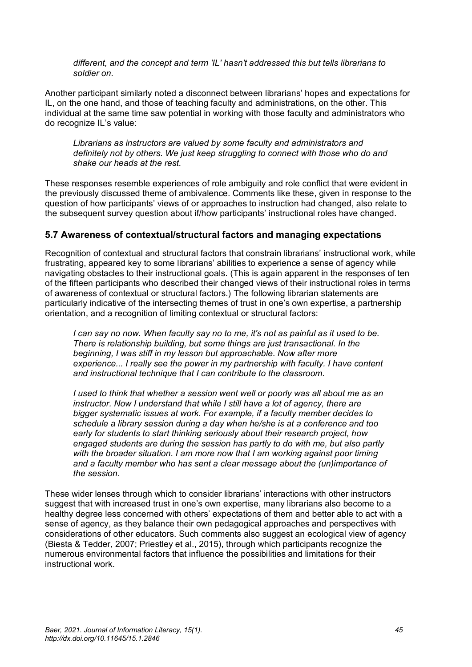*different, and the concept and term 'IL' hasn't addressed this but tells librarians to soldier on.*

Another participant similarly noted a disconnect between librarians' hopes and expectations for IL, on the one hand, and those of teaching faculty and administrations, on the other. This individual at the same time saw potential in working with those faculty and administrators who do recognize IL's value:

*Librarians as instructors are valued by some faculty and administrators and definitely not by others. We just keep struggling to connect with those who do and shake our heads at the rest.*

These responses resemble experiences of role ambiguity and role conflict that were evident in the previously discussed theme of ambivalence. Comments like these, given in response to the question of how participants' views of or approaches to instruction had changed, also relate to the subsequent survey question about if/how participants' instructional roles have changed.

### **5.7 Awareness of contextual/structural factors and managing expectations**

Recognition of contextual and structural factors that constrain librarians' instructional work, while frustrating, appeared key to some librarians' abilities to experience a sense of agency while navigating obstacles to their instructional goals. (This is again apparent in the responses of ten of the fifteen participants who described their changed views of their instructional roles in terms of awareness of contextual or structural factors.) The following librarian statements are particularly indicative of the intersecting themes of trust in one's own expertise, a partnership orientation, and a recognition of limiting contextual or structural factors:

*I can say no now. When faculty say no to me, it's not as painful as it used to be. There is relationship building, but some things are just transactional. In the beginning, I was stiff in my lesson but approachable. Now after more experience... I really see the power in my partnership with faculty. I have content and instructional technique that I can contribute to the classroom.*

*I used to think that whether a session went well or poorly was all about me as an instructor. Now I understand that while I still have a lot of agency, there are bigger systematic issues at work. For example, if a faculty member decides to schedule a library session during a day when he/she is at a conference and too early for students to start thinking seriously about their research project, how engaged students are during the session has partly to do with me, but also partly with the broader situation. I am more now that I am working against poor timing and a faculty member who has sent a clear message about the (un)importance of the session.*

These wider lenses through which to consider librarians' interactions with other instructors suggest that with increased trust in one's own expertise, many librarians also become to a healthy degree less concerned with others' expectations of them and better able to act with a sense of agency, as they balance their own pedagogical approaches and perspectives with considerations of other educators. Such comments also suggest an ecological view of agency (Biesta & Tedder, 2007; Priestley et al., 2015), through which participants recognize the numerous environmental factors that influence the possibilities and limitations for their instructional work.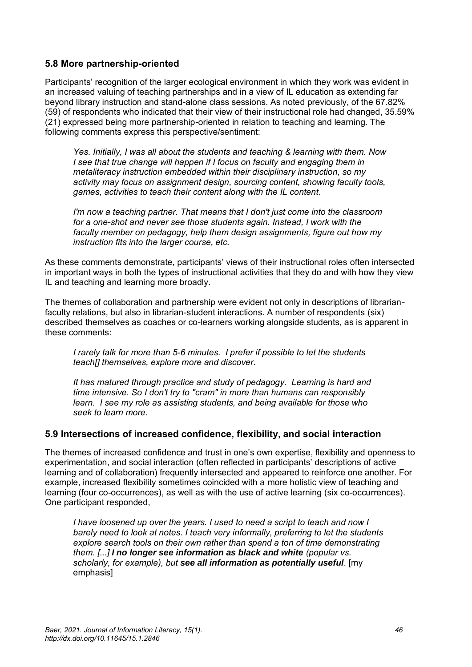### **5.8 More partnership-oriented**

Participants' recognition of the larger ecological environment in which they work was evident in an increased valuing of teaching partnerships and in a view of IL education as extending far beyond library instruction and stand-alone class sessions. As noted previously, of the 67.82% (59) of respondents who indicated that their view of their instructional role had changed, 35.59% (21) expressed being more partnership-oriented in relation to teaching and learning. The following comments express this perspective/sentiment:

*Yes. Initially, I was all about the students and teaching & learning with them. Now I see that true change will happen if I focus on faculty and engaging them in metaliteracy instruction embedded within their disciplinary instruction, so my activity may focus on assignment design, sourcing content, showing faculty tools, games, activities to teach their content along with the IL content.*

*I'm now a teaching partner. That means that I don't just come into the classroom for a one-shot and never see those students again. Instead, I work with the faculty member on pedagogy, help them design assignments, figure out how my instruction fits into the larger course, etc.*

As these comments demonstrate, participants' views of their instructional roles often intersected in important ways in both the types of instructional activities that they do and with how they view IL and teaching and learning more broadly.

The themes of collaboration and partnership were evident not only in descriptions of librarianfaculty relations, but also in librarian-student interactions. A number of respondents (six) described themselves as coaches or co-learners working alongside students, as is apparent in these comments:

*I rarely talk for more than 5-6 minutes. I prefer if possible to let the students teach[] themselves, explore more and discover.*

*It has matured through practice and study of pedagogy. Learning is hard and time intensive. So I don't try to "cram" in more than humans can responsibly learn. I see my role as assisting students, and being available for those who seek to learn more.*

#### **5.9 Intersections of increased confidence, flexibility, and social interaction**

The themes of increased confidence and trust in one's own expertise, flexibility and openness to experimentation, and social interaction (often reflected in participants' descriptions of active learning and of collaboration) frequently intersected and appeared to reinforce one another. For example, increased flexibility sometimes coincided with a more holistic view of teaching and learning (four co-occurrences), as well as with the use of active learning (six co-occurrences). One participant responded,

*I have loosened up over the years. I used to need a script to teach and now I barely need to look at notes. I teach very informally, preferring to let the students explore search tools on their own rather than spend a ton of time demonstrating them. [...] I no longer see information as black and white (popular vs. scholarly, for example), but see all information as potentially useful.* [my emphasis]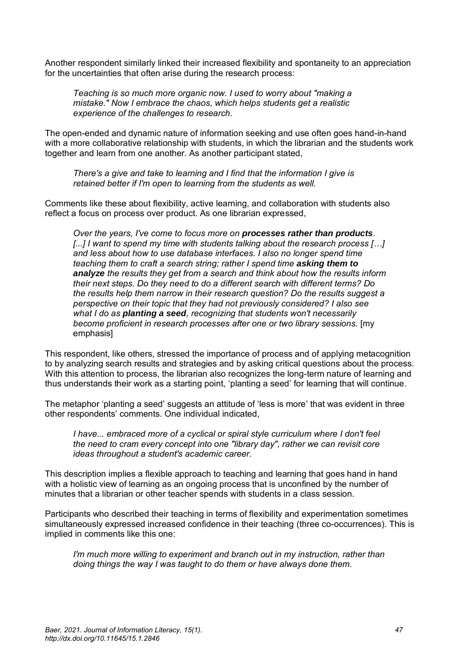Another respondent similarly linked their increased flexibility and spontaneity to an appreciation for the uncertainties that often arise during the research process:

*Teaching is so much more organic now. I used to worry about "making a mistake." Now I embrace the chaos, which helps students get a realistic experience of the challenges to research.*

The open-ended and dynamic nature of information seeking and use often goes hand-in-hand with a more collaborative relationship with students, in which the librarian and the students work together and learn from one another. As another participant stated,

*There's a give and take to learning and I find that the information I give is retained better if I'm open to learning from the students as well.*

Comments like these about flexibility, active learning, and collaboration with students also reflect a focus on process over product. As one librarian expressed,

*Over the years, I've come to focus more on processes rather than products. [...] I want to spend my time with students talking about the research process […] and less about how to use database interfaces. I also no longer spend time teaching them to craft a search string; rather I spend time asking them to analyze the results they get from a search and think about how the results inform their next steps. Do they need to do a different search with different terms? Do the results help them narrow in their research question? Do the results suggest a perspective on their topic that they had not previously considered? I also see what I do as planting a seed, recognizing that students won't necessarily become proficient in research processes after one or two library sessions.* [my emphasis]

This respondent, like others, stressed the importance of process and of applying metacognition to by analyzing search results and strategies and by asking critical questions about the process. With this attention to process, the librarian also recognizes the long-term nature of learning and thus understands their work as a starting point, 'planting a seed' for learning that will continue.

The metaphor 'planting a seed' suggests an attitude of 'less is more' that was evident in three other respondents' comments. One individual indicated,

*I have... embraced more of a cyclical or spiral style curriculum where I don't feel the need to cram every concept into one "library day", rather we can revisit core ideas throughout a student's academic career.*

This description implies a flexible approach to teaching and learning that goes hand in hand with a holistic view of learning as an ongoing process that is unconfined by the number of minutes that a librarian or other teacher spends with students in a class session.

Participants who described their teaching in terms of flexibility and experimentation sometimes simultaneously expressed increased confidence in their teaching (three co-occurrences). This is implied in comments like this one:

*I'm much more willing to experiment and branch out in my instruction, rather than doing things the way I was taught to do them or have always done them.*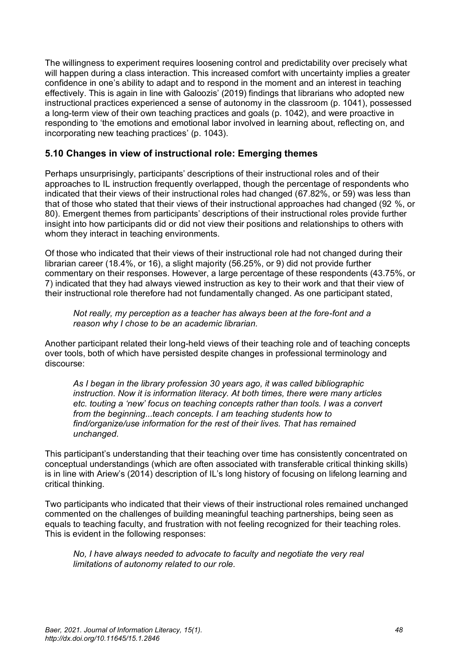The willingness to experiment requires loosening control and predictability over precisely what will happen during a class interaction. This increased comfort with uncertainty implies a greater confidence in one's ability to adapt and to respond in the moment and an interest in teaching effectively. This is again in line with Galoozis' (2019) findings that librarians who adopted new instructional practices experienced a sense of autonomy in the classroom (p. 1041), possessed a long-term view of their own teaching practices and goals (p. 1042), and were proactive in responding to 'the emotions and emotional labor involved in learning about, reflecting on, and incorporating new teaching practices' (p. 1043).

### **5.10 Changes in view of instructional role: Emerging themes**

Perhaps unsurprisingly, participants' descriptions of their instructional roles and of their approaches to IL instruction frequently overlapped, though the percentage of respondents who indicated that their views of their instructional roles had changed (67.82%, or 59) was less than that of those who stated that their views of their instructional approaches had changed (92 %, or 80). Emergent themes from participants' descriptions of their instructional roles provide further insight into how participants did or did not view their positions and relationships to others with whom they interact in teaching environments.

Of those who indicated that their views of their instructional role had not changed during their librarian career (18.4%, or 16), a slight majority (56.25%, or 9) did not provide further commentary on their responses. However, a large percentage of these respondents (43.75%, or 7) indicated that they had always viewed instruction as key to their work and that their view of their instructional role therefore had not fundamentally changed. As one participant stated,

*Not really, my perception as a teacher has always been at the fore-font and a reason why I chose to be an academic librarian.* 

Another participant related their long-held views of their teaching role and of teaching concepts over tools, both of which have persisted despite changes in professional terminology and discourse:

*As I began in the library profession 30 years ago, it was called bibliographic instruction. Now it is information literacy. At both times, there were many articles etc. touting a 'new' focus on teaching concepts rather than tools. I was a convert from the beginning...teach concepts. I am teaching students how to find/organize/use information for the rest of their lives. That has remained unchanged.*

This participant's understanding that their teaching over time has consistently concentrated on conceptual understandings (which are often associated with transferable critical thinking skills) is in line with Ariew's (2014) description of IL's long history of focusing on lifelong learning and critical thinking.

Two participants who indicated that their views of their instructional roles remained unchanged commented on the challenges of building meaningful teaching partnerships, being seen as equals to teaching faculty, and frustration with not feeling recognized for their teaching roles. This is evident in the following responses:

*No, I have always needed to advocate to faculty and negotiate the very real limitations of autonomy related to our role.*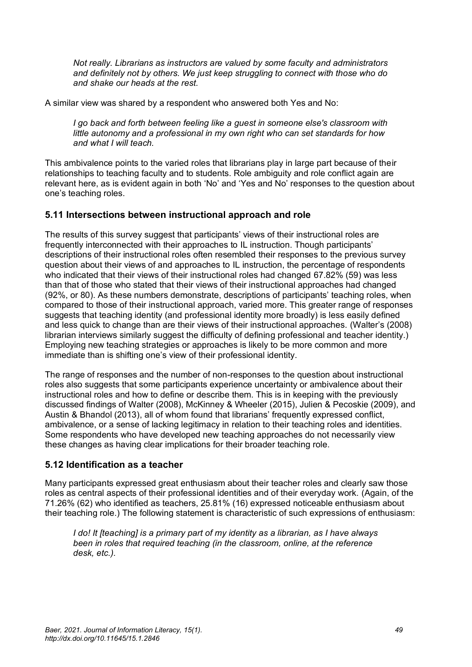*Not really. Librarians as instructors are valued by some faculty and administrators and definitely not by others. We just keep struggling to connect with those who do and shake our heads at the rest.*

A similar view was shared by a respondent who answered both Yes and No:

*I go back and forth between feeling like a guest in someone else's classroom with little autonomy and a professional in my own right who can set standards for how and what I will teach.*

This ambivalence points to the varied roles that librarians play in large part because of their relationships to teaching faculty and to students. Role ambiguity and role conflict again are relevant here, as is evident again in both 'No' and 'Yes and No' responses to the question about one's teaching roles.

### **5.11 Intersections between instructional approach and role**

The results of this survey suggest that participants' views of their instructional roles are frequently interconnected with their approaches to IL instruction. Though participants' descriptions of their instructional roles often resembled their responses to the previous survey question about their views of and approaches to IL instruction, the percentage of respondents who indicated that their views of their instructional roles had changed 67.82% (59) was less than that of those who stated that their views of their instructional approaches had changed (92%, or 80). As these numbers demonstrate, descriptions of participants' teaching roles, when compared to those of their instructional approach, varied more. This greater range of responses suggests that teaching identity (and professional identity more broadly) is less easily defined and less quick to change than are their views of their instructional approaches. (Walter's (2008) librarian interviews similarly suggest the difficulty of defining professional and teacher identity.) Employing new teaching strategies or approaches is likely to be more common and more immediate than is shifting one's view of their professional identity.

The range of responses and the number of non-responses to the question about instructional roles also suggests that some participants experience uncertainty or ambivalence about their instructional roles and how to define or describe them. This is in keeping with the previously discussed findings of Walter (2008), McKinney & Wheeler (2015), Julien & Pecoskie (2009), and Austin & Bhandol (2013), all of whom found that librarians' frequently expressed conflict, ambivalence, or a sense of lacking legitimacy in relation to their teaching roles and identities. Some respondents who have developed new teaching approaches do not necessarily view these changes as having clear implications for their broader teaching role.

### **5.12 Identification as a teacher**

Many participants expressed great enthusiasm about their teacher roles and clearly saw those roles as central aspects of their professional identities and of their everyday work. (Again, of the 71.26% (62) who identified as teachers, 25.81% (16) expressed noticeable enthusiasm about their teaching role.) The following statement is characteristic of such expressions of enthusiasm:

*I do! It [teaching] is a primary part of my identity as a librarian, as I have always been in roles that required teaching (in the classroom, online, at the reference desk, etc.).*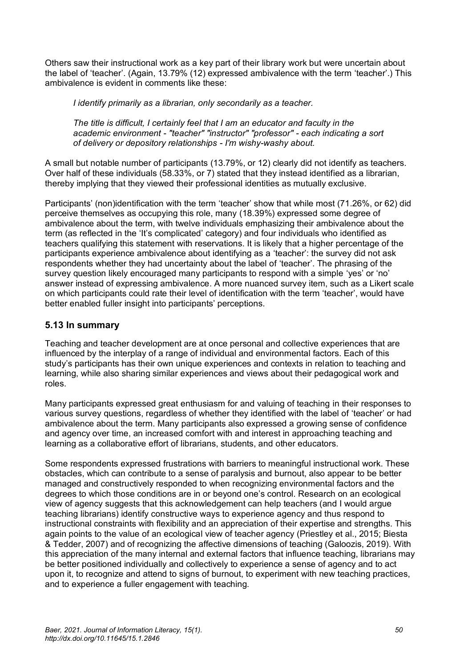Others saw their instructional work as a key part of their library work but were uncertain about the label of 'teacher'. (Again, 13.79% (12) expressed ambivalence with the term 'teacher'.) This ambivalence is evident in comments like these:

*I identify primarily as a librarian, only secondarily as a teacher.*

*The title is difficult, I certainly feel that I am an educator and faculty in the academic environment - "teacher" "instructor" "professor" - each indicating a sort of delivery or depository relationships - I'm wishy-washy about.*

A small but notable number of participants (13.79%, or 12) clearly did not identify as teachers. Over half of these individuals (58.33%, or 7) stated that they instead identified as a librarian, thereby implying that they viewed their professional identities as mutually exclusive.

Participants' (non)identification with the term 'teacher' show that while most (71.26%, or 62) did perceive themselves as occupying this role, many (18.39%) expressed some degree of ambivalence about the term, with twelve individuals emphasizing their ambivalence about the term (as reflected in the 'It's complicated' category) and four individuals who identified as teachers qualifying this statement with reservations. It is likely that a higher percentage of the participants experience ambivalence about identifying as a 'teacher': the survey did not ask respondents whether they had uncertainty about the label of 'teacher'. The phrasing of the survey question likely encouraged many participants to respond with a simple 'yes' or 'no' answer instead of expressing ambivalence. A more nuanced survey item, such as a Likert scale on which participants could rate their level of identification with the term 'teacher', would have better enabled fuller insight into participants' perceptions.

### **5.13 In summary**

Teaching and teacher development are at once personal and collective experiences that are influenced by the interplay of a range of individual and environmental factors. Each of this study's participants has their own unique experiences and contexts in relation to teaching and learning, while also sharing similar experiences and views about their pedagogical work and roles.

Many participants expressed great enthusiasm for and valuing of teaching in their responses to various survey questions, regardless of whether they identified with the label of 'teacher' or had ambivalence about the term. Many participants also expressed a growing sense of confidence and agency over time, an increased comfort with and interest in approaching teaching and learning as a collaborative effort of librarians, students, and other educators.

Some respondents expressed frustrations with barriers to meaningful instructional work. These obstacles, which can contribute to a sense of paralysis and burnout, also appear to be better managed and constructively responded to when recognizing environmental factors and the degrees to which those conditions are in or beyond one's control. Research on an ecological view of agency suggests that this acknowledgement can help teachers (and I would argue teaching librarians) identify constructive ways to experience agency and thus respond to instructional constraints with flexibility and an appreciation of their expertise and strengths. This again points to the value of an ecological view of teacher agency (Priestley et al., 2015; Biesta & Tedder, 2007) and of recognizing the affective dimensions of teaching (Galoozis, 2019). With this appreciation of the many internal and external factors that influence teaching, librarians may be better positioned individually and collectively to experience a sense of agency and to act upon it, to recognize and attend to signs of burnout, to experiment with new teaching practices, and to experience a fuller engagement with teaching.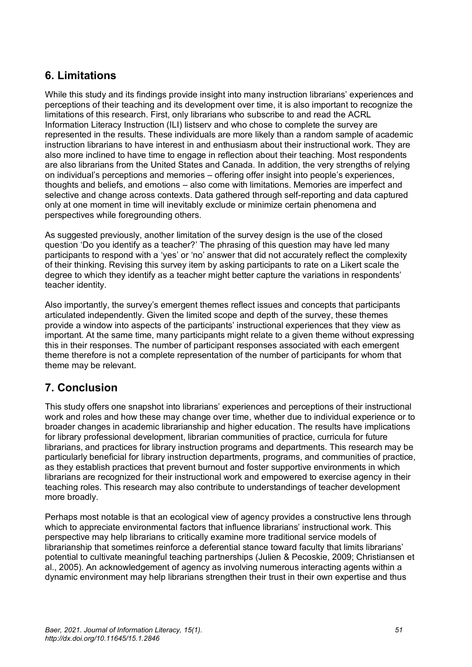# **6. Limitations**

While this study and its findings provide insight into many instruction librarians' experiences and perceptions of their teaching and its development over time, it is also important to recognize the limitations of this research. First, only librarians who subscribe to and read the ACRL Information Literacy Instruction (ILI) listserv and who chose to complete the survey are represented in the results. These individuals are more likely than a random sample of academic instruction librarians to have interest in and enthusiasm about their instructional work. They are also more inclined to have time to engage in reflection about their teaching. Most respondents are also librarians from the United States and Canada. In addition, the very strengths of relying on individual's perceptions and memories – offering offer insight into people's experiences, thoughts and beliefs, and emotions – also come with limitations. Memories are imperfect and selective and change across contexts. Data gathered through self-reporting and data captured only at one moment in time will inevitably exclude or minimize certain phenomena and perspectives while foregrounding others.

As suggested previously, another limitation of the survey design is the use of the closed question 'Do you identify as a teacher?' The phrasing of this question may have led many participants to respond with a 'yes' or 'no' answer that did not accurately reflect the complexity of their thinking. Revising this survey item by asking participants to rate on a Likert scale the degree to which they identify as a teacher might better capture the variations in respondents' teacher identity.

Also importantly, the survey's emergent themes reflect issues and concepts that participants articulated independently. Given the limited scope and depth of the survey, these themes provide a window into aspects of the participants' instructional experiences that they view as important. At the same time, many participants might relate to a given theme without expressing this in their responses. The number of participant responses associated with each emergent theme therefore is not a complete representation of the number of participants for whom that theme may be relevant.

# **7. Conclusion**

This study offers one snapshot into librarians' experiences and perceptions of their instructional work and roles and how these may change over time, whether due to individual experience or to broader changes in academic librarianship and higher education. The results have implications for library professional development, librarian communities of practice, curricula for future librarians, and practices for library instruction programs and departments. This research may be particularly beneficial for library instruction departments, programs, and communities of practice, as they establish practices that prevent burnout and foster supportive environments in which librarians are recognized for their instructional work and empowered to exercise agency in their teaching roles. This research may also contribute to understandings of teacher development more broadly.

Perhaps most notable is that an ecological view of agency provides a constructive lens through which to appreciate environmental factors that influence librarians' instructional work. This perspective may help librarians to critically examine more traditional service models of librarianship that sometimes reinforce a deferential stance toward faculty that limits librarians' potential to cultivate meaningful teaching partnerships (Julien & Pecoskie, 2009; Christiansen et al., 2005). An acknowledgement of agency as involving numerous interacting agents within a dynamic environment may help librarians strengthen their trust in their own expertise and thus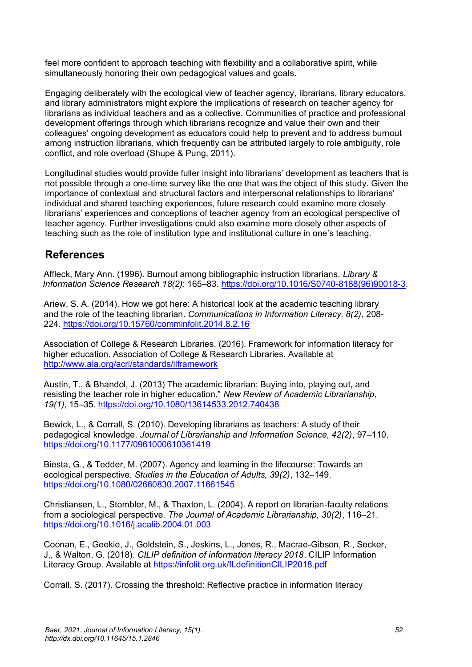feel more confident to approach teaching with flexibility and a collaborative spirit, while simultaneously honoring their own pedagogical values and goals.

Engaging deliberately with the ecological view of teacher agency, librarians, library educators, and library administrators might explore the implications of research on teacher agency for librarians as individual teachers and as a collective. Communities of practice and professional development offerings through which librarians recognize and value their own and their colleagues' ongoing development as educators could help to prevent and to address burnout among instruction librarians, which frequently can be attributed largely to role ambiguity, role conflict, and role overload (Shupe & Pung, 2011).

Longitudinal studies would provide fuller insight into librarians' development as teachers that is not possible through a one-time survey like the one that was the object of this study. Given the importance of contextual and structural factors and interpersonal relationships to librarians' individual and shared teaching experiences, future research could examine more closely librarians' experiences and conceptions of teacher agency from an ecological perspective of teacher agency. Further investigations could also examine more closely other aspects of teaching such as the role of institution type and institutional culture in one's teaching.

# **References**

Affleck, Mary Ann. (1996). Burnout among bibliographic instruction librarians. *Library & Information Science Research 18(2)*: 165–83. [https://doi.org/10.1016/S0740-8188\(96\)90018-3.](https://doi.org/10.1016/S0740-8188(96)90018-3)

Ariew, S. A. (2014). How we got here: A historical look at the academic teaching library and the role of the teaching librarian. *Communications in Information Literacy, 8(2)*, 208- 224. <https://doi.org/10.15760/comminfolit.2014.8.2.16>

Association of College & Research Libraries. (2016). Framework for information literacy for higher education. Association of College & Research Libraries. Available at <http://www.ala.org/acrl/standards/ilframework>

Austin, T., & Bhandol, J. (2013) The academic librarian: Buying into, playing out, and resisting the teacher role in higher education." *New Review of Academic Librarianship, 19(1)*, 15–35[. https://doi.org/10.1080/13614533.2012.740438](https://doi.org/10.1080/13614533.2012.740438)

Bewick, L., & Corrall, S. (2010). Developing librarians as teachers: A study of their pedagogical knowledge. *Journal of Librarianship and Information Science, 42(2)*, 97–110. <https://doi.org/10.1177/0961000610361419>

Biesta, G., & Tedder, M. (2007). Agency and learning in the lifecourse: Towards an ecological perspective. *Studies in the Education of Adults, 39(2)*, 132–149. <https://doi.org/10.1080/02660830.2007.11661545>

Christiansen, L., Stombler, M., & Thaxton, L. (2004). A report on librarian-faculty relations from a sociological perspective. *The Journal of Academic Librarianship, 30(2)*, 116–21. <https://doi.org/10.1016/j.acalib.2004.01.003>

Coonan, E., Geekie, J., Goldstein, S., Jeskins, L., Jones, R., Macrae-Gibson, R., Secker, J., & Walton, G. (2018). *CILIP definition of information literacy 2018*. CILIP Information Literacy Group. Available at <https://infolit.org.uk/ILdefinitionCILIP2018.pdf>

Corrall, S. (2017). Crossing the threshold: Reflective practice in information literacy